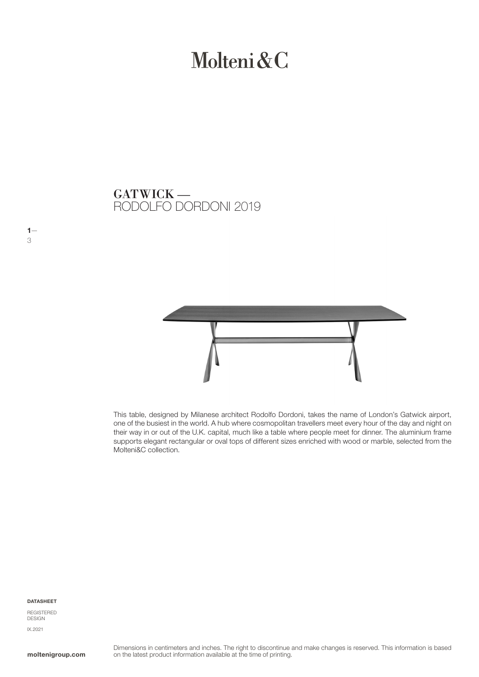# Molteni & C

RODOLFO DORDONI 2019 GATWICK —



This table, designed by Milanese architect Rodolfo Dordoni, takes the name of London's Gatwick airport, one of the busiest in the world. A hub where cosmopolitan travellers meet every hour of the day and night on their way in or out of the U.K. capital, much like a table where people meet for dinner. The aluminium frame supports elegant rectangular or oval tops of different sizes enriched with wood or marble, selected from the Molteni&C collection.

#### DATASHEET

 $1-$ 3

REGISTERED DESIGN IX.2021

moltenigroup.com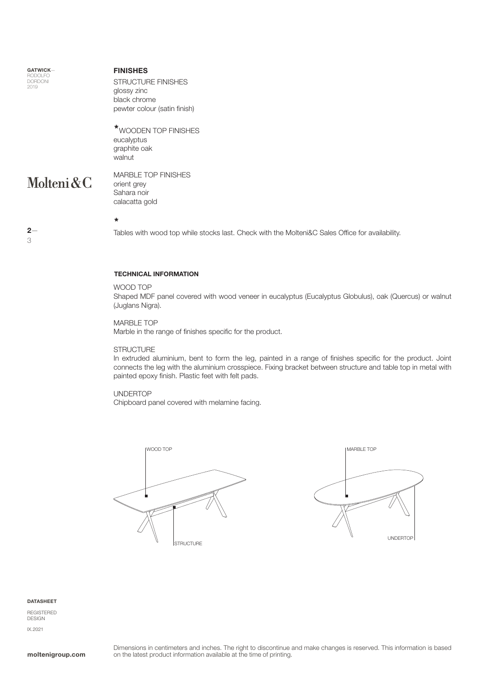GATWICK— RODOLFO DORDONI 2019

#### FINISHES

STRUCTURE FINISHES glossy zinc black chrome pewter colour (satin finish)

**\***WOODEN TOP FINISHES eucalyptus graphite oak walnut

### Molteni&C

 $2-$ 

3

MARBLE TOP FINISHES orient grey Sahara noir calacatta gold

**\***

Tables with wood top while stocks last. Check with the Molteni&C Sales Office for availability.

#### TECHNICAL INFORMATION

#### WOOD TOP

Shaped MDF panel covered with wood veneer in eucalyptus (Eucalyptus Globulus), oak (Quercus) or walnut (Juglans Nigra).

MARBLE TOP Marble in the range of finishes specific for the product.

#### **STRUCTURE**

In extruded aluminium, bent to form the leg, painted in a range of finishes specific for the product. Joint connects the leg with the aluminium crosspiece. Fixing bracket between structure and table top in metal with painted epoxy finish. Plastic feet with felt pads.

#### UNDERTOP

Chipboard panel covered with melamine facing.





#### DATASHEET

REGISTERED DESIGN IX.2021